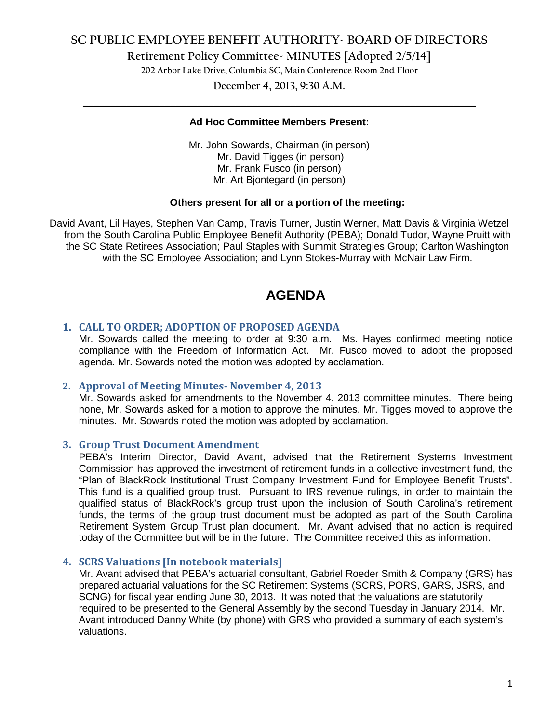## **SC PUBLIC EMPLOYEE BENEFIT AUTHORITY- BOARD OF DIRECTORS**

**Retirement Policy Committee- MINUTES [Adopted 2/5/14]**

**202 Arbor Lake Drive, Columbia SC, Main Conference Room 2nd Floor**

**December 4, 2013, 9:30 A.M. \_\_\_\_\_\_\_\_\_\_\_\_\_\_\_\_\_\_\_\_\_\_\_\_\_\_\_\_\_\_\_\_\_\_\_\_\_\_\_\_\_\_\_\_\_\_\_\_\_\_\_\_\_\_\_\_\_\_\_\_\_\_\_\_\_\_\_\_\_\_\_\_**

#### **Ad Hoc Committee Members Present:**

Mr. John Sowards, Chairman (in person) Mr. David Tigges (in person) Mr. Frank Fusco (in person) Mr. Art Bjontegard (in person)

### **Others present for all or a portion of the meeting:**

David Avant, Lil Hayes, Stephen Van Camp, Travis Turner, Justin Werner, Matt Davis & Virginia Wetzel from the South Carolina Public Employee Benefit Authority (PEBA); Donald Tudor, Wayne Pruitt with the SC State Retirees Association; Paul Staples with Summit Strategies Group; Carlton Washington with the SC Employee Association; and Lynn Stokes-Murray with McNair Law Firm.

# **AGENDA**

### **1. CALL TO ORDER; ADOPTION OF PROPOSED AGENDA**

Mr. Sowards called the meeting to order at 9:30 a.m. Ms. Hayes confirmed meeting notice compliance with the Freedom of Information Act. Mr. Fusco moved to adopt the proposed agenda. Mr. Sowards noted the motion was adopted by acclamation.

### **2. Approval of Meeting Minutes- November 4, 2013**

Mr. Sowards asked for amendments to the November 4, 2013 committee minutes. There being none, Mr. Sowards asked for a motion to approve the minutes. Mr. Tigges moved to approve the minutes. Mr. Sowards noted the motion was adopted by acclamation.

### **3. Group Trust Document Amendment**

PEBA's Interim Director, David Avant, advised that the Retirement Systems Investment Commission has approved the investment of retirement funds in a collective investment fund, the "Plan of BlackRock Institutional Trust Company Investment Fund for Employee Benefit Trusts". This fund is a qualified group trust. Pursuant to IRS revenue rulings, in order to maintain the qualified status of BlackRock's group trust upon the inclusion of South Carolina's retirement funds, the terms of the group trust document must be adopted as part of the South Carolina Retirement System Group Trust plan document. Mr. Avant advised that no action is required today of the Committee but will be in the future. The Committee received this as information.

### **4. SCRS Valuations [In notebook materials]**

Mr. Avant advised that PEBA's actuarial consultant, Gabriel Roeder Smith & Company (GRS) has prepared actuarial valuations for the SC Retirement Systems (SCRS, PORS, GARS, JSRS, and SCNG) for fiscal year ending June 30, 2013. It was noted that the valuations are statutorily required to be presented to the General Assembly by the second Tuesday in January 2014. Mr. Avant introduced Danny White (by phone) with GRS who provided a summary of each system's valuations.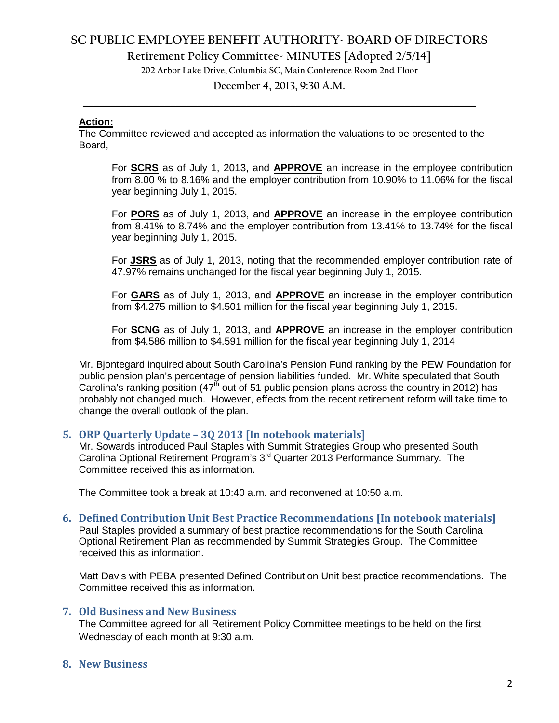## **SC PUBLIC EMPLOYEE BENEFIT AUTHORITY- BOARD OF DIRECTORS**

**Retirement Policy Committee- MINUTES [Adopted 2/5/14]**

**202 Arbor Lake Drive, Columbia SC, Main Conference Room 2nd Floor**

**December 4, 2013, 9:30 A.M. \_\_\_\_\_\_\_\_\_\_\_\_\_\_\_\_\_\_\_\_\_\_\_\_\_\_\_\_\_\_\_\_\_\_\_\_\_\_\_\_\_\_\_\_\_\_\_\_\_\_\_\_\_\_\_\_\_\_\_\_\_\_\_\_\_\_\_\_\_\_\_\_**

#### **Action:**

The Committee reviewed and accepted as information the valuations to be presented to the Board,

For **SCRS** as of July 1, 2013, and **APPROVE** an increase in the employee contribution from 8.00 % to 8.16% and the employer contribution from 10.90% to 11.06% for the fiscal year beginning July 1, 2015.

For **PORS** as of July 1, 2013, and **APPROVE** an increase in the employee contribution from 8.41% to 8.74% and the employer contribution from 13.41% to 13.74% for the fiscal year beginning July 1, 2015.

For **JSRS** as of July 1, 2013, noting that the recommended employer contribution rate of 47.97% remains unchanged for the fiscal year beginning July 1, 2015.

For **GARS** as of July 1, 2013, and **APPROVE** an increase in the employer contribution from \$4.275 million to \$4.501 million for the fiscal year beginning July 1, 2015.

For **SCNG** as of July 1, 2013, and **APPROVE** an increase in the employer contribution from \$4.586 million to \$4.591 million for the fiscal year beginning July 1, 2014

Mr. Bjontegard inquired about South Carolina's Pension Fund ranking by the PEW Foundation for public pension plan's percentage of pension liabilities funded. Mr. White speculated that South Carolina's ranking position (47<sup>th</sup> out of 51 public pension plans across the country in 2012) has probably not changed much. However, effects from the recent retirement reform will take time to change the overall outlook of the plan.

### **5. ORP Quarterly Update – 3Q 2013 [In notebook materials]**

Mr. Sowards introduced Paul Staples with Summit Strategies Group who presented South Carolina Optional Retirement Program's 3rd Quarter 2013 Performance Summary. The Committee received this as information.

The Committee took a break at 10:40 a.m. and reconvened at 10:50 a.m.

### **6. Defined Contribution Unit Best Practice Recommendations [In notebook materials]**

Paul Staples provided a summary of best practice recommendations for the South Carolina Optional Retirement Plan as recommended by Summit Strategies Group. The Committee received this as information.

Matt Davis with PEBA presented Defined Contribution Unit best practice recommendations. The Committee received this as information.

### **7. Old Business and New Business**

The Committee agreed for all Retirement Policy Committee meetings to be held on the first Wednesday of each month at 9:30 a.m.

### **8. New Business**